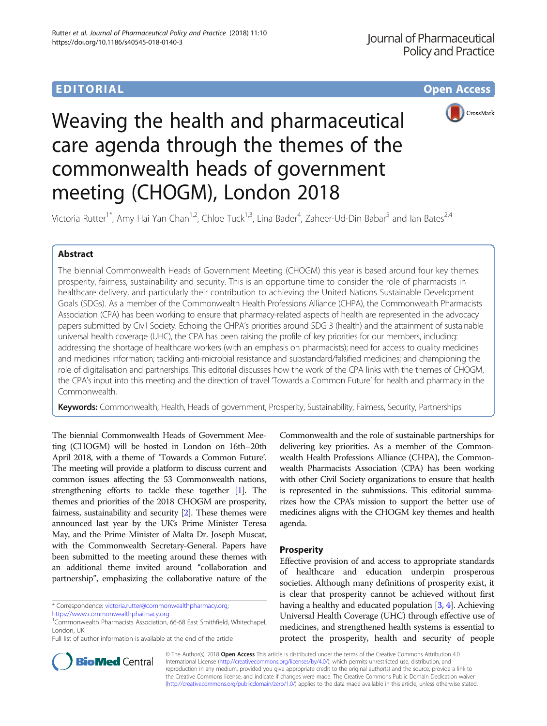# EDITORIAL AND CONTROL CONTROL CONTROL CONTROL CONTROL CONTROL CONTROL CONTROL CONTROL CONTROL CONTROL CONTROL CONTROL CONTROL CONTROL CONTROL CONTROL CONTROL CONTROL CONTROL CONTROL CONTROL CONTROL CONTROL CONTROL CONTROL



# Weaving the health and pharmaceutical care agenda through the themes of the commonwealth heads of government meeting (CHOGM), London 2018

Victoria Rutter<sup>1\*</sup>, Amy Hai Yan Chan<sup>1,2</sup>, Chloe Tuck<sup>1,3</sup>, Lina Bader<sup>4</sup>, Zaheer-Ud-Din Babar<sup>5</sup> and Ian Bates<sup>2,4</sup>

# Abstract

The biennial Commonwealth Heads of Government Meeting (CHOGM) this year is based around four key themes: prosperity, fairness, sustainability and security. This is an opportune time to consider the role of pharmacists in healthcare delivery, and particularly their contribution to achieving the United Nations Sustainable Development Goals (SDGs). As a member of the Commonwealth Health Professions Alliance (CHPA), the Commonwealth Pharmacists Association (CPA) has been working to ensure that pharmacy-related aspects of health are represented in the advocacy papers submitted by Civil Society. Echoing the CHPA's priorities around SDG 3 (health) and the attainment of sustainable universal health coverage (UHC), the CPA has been raising the profile of key priorities for our members, including: addressing the shortage of healthcare workers (with an emphasis on pharmacists); need for access to quality medicines and medicines information; tackling anti-microbial resistance and substandard/falsified medicines; and championing the role of digitalisation and partnerships. This editorial discusses how the work of the CPA links with the themes of CHOGM, the CPA's input into this meeting and the direction of travel 'Towards a Common Future' for health and pharmacy in the Commonwealth.

Keywords: Commonwealth, Health, Heads of government, Prosperity, Sustainability, Fairness, Security, Partnerships

The biennial Commonwealth Heads of Government Meeting (CHOGM) will be hosted in London on 16th–20th April 2018, with a theme of 'Towards a Common Future'. The meeting will provide a platform to discuss current and common issues affecting the 53 Commonwealth nations, strengthening efforts to tackle these together [[1\]](#page-3-0). The themes and priorities of the 2018 CHOGM are prosperity, fairness, sustainability and security [\[2\]](#page-3-0). These themes were announced last year by the UK's Prime Minister Teresa May, and the Prime Minister of Malta Dr. Joseph Muscat, with the Commonwealth Secretary-General. Papers have been submitted to the meeting around these themes with an additional theme invited around "collaboration and partnership", emphasizing the collaborative nature of the

\* Correspondence: [victoria.rutter@commonwealthpharmacy.org;](mailto:victoria.rutter@commonwealthpharmacy.org)

Commonwealth and the role of sustainable partnerships for delivering key priorities. As a member of the Commonwealth Health Professions Alliance (CHPA), the Commonwealth Pharmacists Association (CPA) has been working with other Civil Society organizations to ensure that health is represented in the submissions. This editorial summarizes how the CPA's mission to support the better use of medicines aligns with the CHOGM key themes and health agenda.

# **Prosperity**

Effective provision of and access to appropriate standards of healthcare and education underpin prosperous societies. Although many definitions of prosperity exist, it is clear that prosperity cannot be achieved without first having a healthy and educated population [[3](#page-3-0), [4\]](#page-3-0). Achieving Universal Health Coverage (UHC) through effective use of medicines, and strengthened health systems is essential to protect the prosperity, health and security of people



© The Author(s). 2018 Open Access This article is distributed under the terms of the Creative Commons Attribution 4.0 International License [\(http://creativecommons.org/licenses/by/4.0/](http://creativecommons.org/licenses/by/4.0/)), which permits unrestricted use, distribution, and reproduction in any medium, provided you give appropriate credit to the original author(s) and the source, provide a link to the Creative Commons license, and indicate if changes were made. The Creative Commons Public Domain Dedication waiver [\(http://creativecommons.org/publicdomain/zero/1.0/](http://creativecommons.org/publicdomain/zero/1.0/)) applies to the data made available in this article, unless otherwise stated.

<https://www.commonwealthpharmacy.org>

<sup>&</sup>lt;sup>1</sup>Commonwealth Pharmacists Association, 66-68 East Smithfield, Whitechapel, London, UK

Full list of author information is available at the end of the article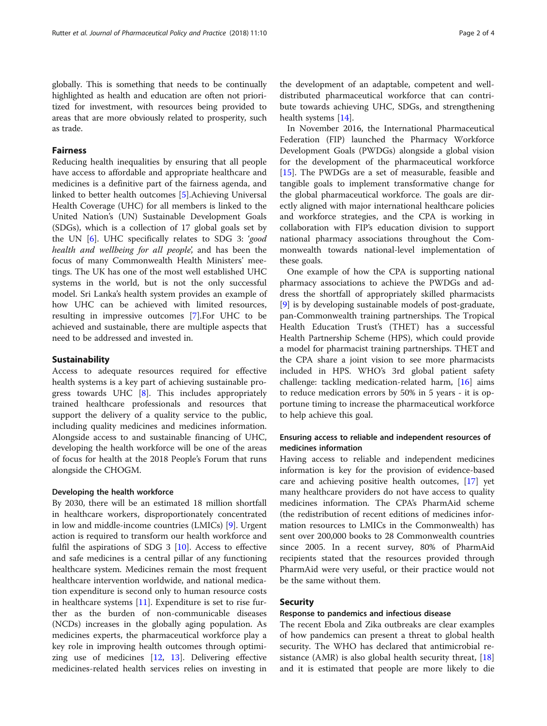globally. This is something that needs to be continually highlighted as health and education are often not prioritized for investment, with resources being provided to areas that are more obviously related to prosperity, such as trade.

# Fairness

Reducing health inequalities by ensuring that all people have access to affordable and appropriate healthcare and medicines is a definitive part of the fairness agenda, and linked to better health outcomes [[5\]](#page-3-0).Achieving Universal Health Coverage (UHC) for all members is linked to the United Nation's (UN) Sustainable Development Goals (SDGs), which is a collection of 17 global goals set by the UN [[6\]](#page-3-0). UHC specifically relates to SDG 3: 'good health and wellbeing for all people', and has been the focus of many Commonwealth Health Ministers' meetings. The UK has one of the most well established UHC systems in the world, but is not the only successful model. Sri Lanka's health system provides an example of how UHC can be achieved with limited resources, resulting in impressive outcomes [[7](#page-3-0)].For UHC to be achieved and sustainable, there are multiple aspects that need to be addressed and invested in.

## Sustainability

Access to adequate resources required for effective health systems is a key part of achieving sustainable progress towards UHC [\[8](#page-3-0)]. This includes appropriately trained healthcare professionals and resources that support the delivery of a quality service to the public, including quality medicines and medicines information. Alongside access to and sustainable financing of UHC, developing the health workforce will be one of the areas of focus for health at the 2018 People's Forum that runs alongside the CHOGM.

#### Developing the health workforce

By 2030, there will be an estimated 18 million shortfall in healthcare workers, disproportionately concentrated in low and middle-income countries (LMICs) [[9\]](#page-3-0). Urgent action is required to transform our health workforce and fulfil the aspirations of SDG 3 [\[10](#page-3-0)]. Access to effective and safe medicines is a central pillar of any functioning healthcare system. Medicines remain the most frequent healthcare intervention worldwide, and national medication expenditure is second only to human resource costs in healthcare systems [[11\]](#page-3-0). Expenditure is set to rise further as the burden of non-communicable diseases (NCDs) increases in the globally aging population. As medicines experts, the pharmaceutical workforce play a key role in improving health outcomes through optimizing use of medicines [[12,](#page-3-0) [13\]](#page-3-0). Delivering effective medicines-related health services relies on investing in the development of an adaptable, competent and welldistributed pharmaceutical workforce that can contribute towards achieving UHC, SDGs, and strengthening health systems [\[14](#page-3-0)].

In November 2016, the International Pharmaceutical Federation (FIP) launched the Pharmacy Workforce Development Goals (PWDGs) alongside a global vision for the development of the pharmaceutical workforce [[15\]](#page-3-0). The PWDGs are a set of measurable, feasible and tangible goals to implement transformative change for the global pharmaceutical workforce. The goals are directly aligned with major international healthcare policies and workforce strategies, and the CPA is working in collaboration with FIP's education division to support national pharmacy associations throughout the Commonwealth towards national-level implementation of these goals.

One example of how the CPA is supporting national pharmacy associations to achieve the PWDGs and address the shortfall of appropriately skilled pharmacists [[9\]](#page-3-0) is by developing sustainable models of post-graduate, pan-Commonwealth training partnerships. The Tropical Health Education Trust's (THET) has a successful Health Partnership Scheme (HPS), which could provide a model for pharmacist training partnerships. THET and the CPA share a joint vision to see more pharmacists included in HPS. WHO's 3rd global patient safety challenge: tackling medication-related harm, [[16](#page-3-0)] aims to reduce medication errors by 50% in 5 years - it is opportune timing to increase the pharmaceutical workforce to help achieve this goal.

# Ensuring access to reliable and independent resources of medicines information

Having access to reliable and independent medicines information is key for the provision of evidence-based care and achieving positive health outcomes, [\[17](#page-3-0)] yet many healthcare providers do not have access to quality medicines information. The CPA's PharmAid scheme (the redistribution of recent editions of medicines information resources to LMICs in the Commonwealth) has sent over 200,000 books to 28 Commonwealth countries since 2005. In a recent survey, 80% of PharmAid recipients stated that the resources provided through PharmAid were very useful, or their practice would not be the same without them.

#### Security

## Response to pandemics and infectious disease

The recent Ebola and Zika outbreaks are clear examples of how pandemics can present a threat to global health security. The WHO has declared that antimicrobial resistance (AMR) is also global health security threat,  $[18]$  $[18]$  $[18]$ and it is estimated that people are more likely to die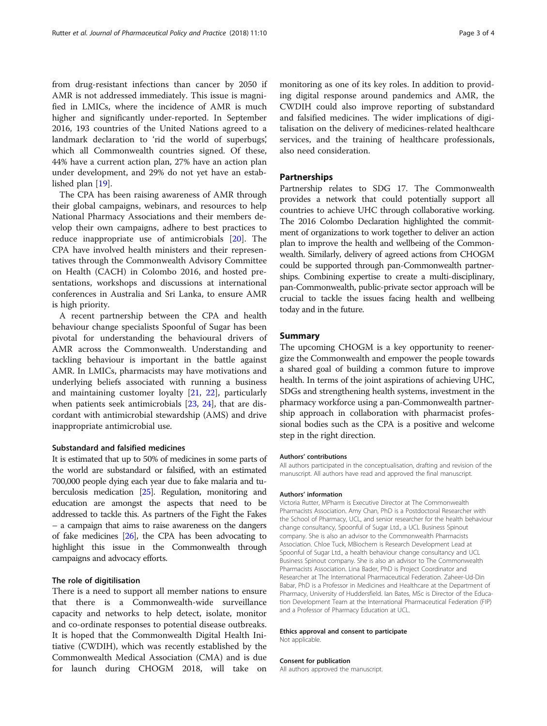from drug-resistant infections than cancer by 2050 if AMR is not addressed immediately. This issue is magnified in LMICs, where the incidence of AMR is much higher and significantly under-reported. In September 2016, 193 countries of the United Nations agreed to a landmark declaration to 'rid the world of superbugs', which all Commonwealth countries signed. Of these, 44% have a current action plan, 27% have an action plan under development, and 29% do not yet have an established plan [\[19\]](#page-3-0).

The CPA has been raising awareness of AMR through their global campaigns, webinars, and resources to help National Pharmacy Associations and their members develop their own campaigns, adhere to best practices to reduce inappropriate use of antimicrobials [[20\]](#page-3-0). The CPA have involved health ministers and their representatives through the Commonwealth Advisory Committee on Health (CACH) in Colombo 2016, and hosted presentations, workshops and discussions at international conferences in Australia and Sri Lanka, to ensure AMR is high priority.

A recent partnership between the CPA and health behaviour change specialists Spoonful of Sugar has been pivotal for understanding the behavioural drivers of AMR across the Commonwealth. Understanding and tackling behaviour is important in the battle against AMR. In LMICs, pharmacists may have motivations and underlying beliefs associated with running a business and maintaining customer loyalty [\[21](#page-3-0), [22](#page-3-0)], particularly when patients seek antimicrobials [[23](#page-3-0), [24](#page-3-0)], that are discordant with antimicrobial stewardship (AMS) and drive inappropriate antimicrobial use.

# Substandard and falsified medicines

It is estimated that up to 50% of medicines in some parts of the world are substandard or falsified, with an estimated 700,000 people dying each year due to fake malaria and tuberculosis medication [[25](#page-3-0)]. Regulation, monitoring and education are amongst the aspects that need to be addressed to tackle this. As partners of the Fight the Fakes – a campaign that aims to raise awareness on the dangers of fake medicines [\[26\]](#page-3-0), the CPA has been advocating to highlight this issue in the Commonwealth through campaigns and advocacy efforts.

# The role of digitilisation

There is a need to support all member nations to ensure that there is a Commonwealth-wide surveillance capacity and networks to help detect, isolate, monitor and co-ordinate responses to potential disease outbreaks. It is hoped that the Commonwealth Digital Health Initiative (CWDIH), which was recently established by the Commonwealth Medical Association (CMA) and is due for launch during CHOGM 2018, will take on

monitoring as one of its key roles. In addition to providing digital response around pandemics and AMR, the CWDIH could also improve reporting of substandard and falsified medicines. The wider implications of digitalisation on the delivery of medicines-related healthcare services, and the training of healthcare professionals, also need consideration.

## Partnerships

Partnership relates to SDG 17. The Commonwealth provides a network that could potentially support all countries to achieve UHC through collaborative working. The 2016 Colombo Declaration highlighted the commitment of organizations to work together to deliver an action plan to improve the health and wellbeing of the Commonwealth. Similarly, delivery of agreed actions from CHOGM could be supported through pan-Commonwealth partnerships. Combining expertise to create a multi-disciplinary, pan-Commonwealth, public-private sector approach will be crucial to tackle the issues facing health and wellbeing today and in the future.

#### Summary

The upcoming CHOGM is a key opportunity to reenergize the Commonwealth and empower the people towards a shared goal of building a common future to improve health. In terms of the joint aspirations of achieving UHC, SDGs and strengthening health systems, investment in the pharmacy workforce using a pan-Commonwealth partnership approach in collaboration with pharmacist professional bodies such as the CPA is a positive and welcome step in the right direction.

#### Authors' contributions

All authors participated in the conceptualisation, drafting and revision of the manuscript. All authors have read and approved the final manuscript.

#### Authors' information

Victoria Rutter, MPharm is Executive Director at The Commonwealth Pharmacists Association. Amy Chan, PhD is a Postdoctoral Researcher with the School of Pharmacy, UCL, and senior researcher for the health behaviour change consultancy, Spoonful of Sugar Ltd., a UCL Business Spinout company. She is also an advisor to the Commonwealth Pharmacists Association. Chloe Tuck, MBiochem is Research Development Lead at Spoonful of Sugar Ltd., a health behaviour change consultancy and UCL Business Spinout company. She is also an advisor to The Commonwealth Pharmacists Association. Lina Bader, PhD is Project Coordinator and Researcher at The International Pharmaceutical Federation. Zaheer-Ud-Din Babar, PhD is a Professor in Medicines and Healthcare at the Department of Pharmacy, University of Huddersfield. Ian Bates, MSc is Director of the Education Development Team at the International Pharmaceutical Federation (FIP) and a Professor of Pharmacy Education at UCL.

# Ethics approval and consent to participate

Not applicable.

#### Consent for publication

All authors approved the manuscript.